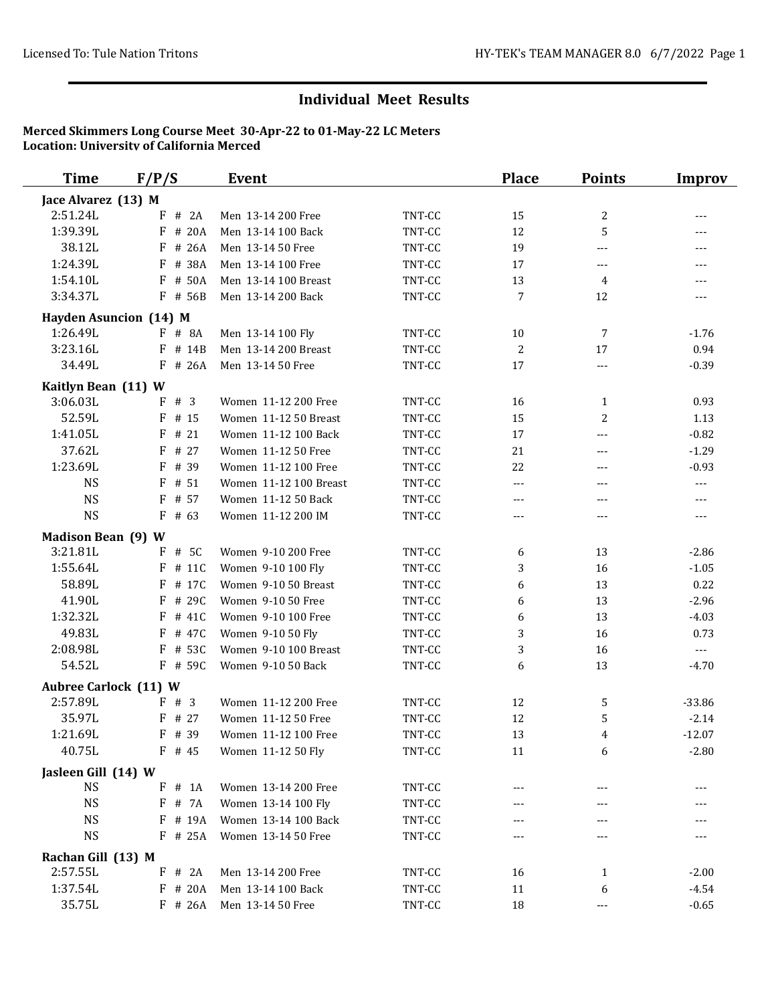| <b>Time</b>                              | F/P/S                  | Event                  |        | <b>Place</b>   | <b>Points</b> | Improv                                                                                                                                                                                                                                                                                                                                                                                       |
|------------------------------------------|------------------------|------------------------|--------|----------------|---------------|----------------------------------------------------------------------------------------------------------------------------------------------------------------------------------------------------------------------------------------------------------------------------------------------------------------------------------------------------------------------------------------------|
| Jace Alvarez (13) M                      |                        |                        |        |                |               |                                                                                                                                                                                                                                                                                                                                                                                              |
| 2:51.24L                                 | # 2A<br>F              | Men 13-14 200 Free     | TNT-CC | 15             | 2             | $---$                                                                                                                                                                                                                                                                                                                                                                                        |
| 1:39.39L                                 | F<br># 20A             | Men 13-14 100 Back     | TNT-CC | 12             | 5             | $---$                                                                                                                                                                                                                                                                                                                                                                                        |
| 38.12L                                   | # 26A<br>F             | Men 13-14 50 Free      | TNT-CC | 19             | $---$         | $---$                                                                                                                                                                                                                                                                                                                                                                                        |
| 1:24.39L                                 | F<br># 38A             | Men 13-14 100 Free     | TNT-CC | 17             | ---           | $\cdots$                                                                                                                                                                                                                                                                                                                                                                                     |
| 1:54.10L                                 | # 50A<br>F             | Men 13-14 100 Breast   | TNT-CC | 13             | 4             | $---$                                                                                                                                                                                                                                                                                                                                                                                        |
| 3:34.37L                                 | $F$ # 56B              | Men 13-14 200 Back     | TNT-CC | 7              | 12            | $---$                                                                                                                                                                                                                                                                                                                                                                                        |
|                                          | Hayden Asuncion (14) M |                        |        |                |               |                                                                                                                                                                                                                                                                                                                                                                                              |
| 1:26.49L                                 | $F$ # 8A               | Men 13-14 100 Fly      | TNT-CC | 10             | 7             | $-1.76$                                                                                                                                                                                                                                                                                                                                                                                      |
| 3:23.16L                                 | $F$ # 14B              | Men 13-14 200 Breast   | TNT-CC | $\overline{2}$ | 17            | 0.94                                                                                                                                                                                                                                                                                                                                                                                         |
| 34.49L                                   | $F$ # 26A              | Men 13-14 50 Free      | TNT-CC | 17             | ---           | $-0.39$                                                                                                                                                                                                                                                                                                                                                                                      |
| Kaitlyn Bean (11) W                      |                        |                        |        |                |               |                                                                                                                                                                                                                                                                                                                                                                                              |
| 3:06.03L                                 | # 3<br>F               | Women 11-12 200 Free   | TNT-CC | 16             | $\mathbf{1}$  | 0.93                                                                                                                                                                                                                                                                                                                                                                                         |
| 52.59L                                   | F<br># 15              | Women 11-12 50 Breast  | TNT-CC | 15             | 2             | 1.13                                                                                                                                                                                                                                                                                                                                                                                         |
| 1:41.05L                                 | # $21$<br>F            | Women 11-12 100 Back   | TNT-CC | 17             | $---$         | $-0.82$                                                                                                                                                                                                                                                                                                                                                                                      |
| 37.62L                                   | # 27<br>F              | Women 11-12 50 Free    | TNT-CC | 21             | $---$         | $-1.29$                                                                                                                                                                                                                                                                                                                                                                                      |
| 1:23.69L                                 | # 39<br>F              | Women 11-12 100 Free   | TNT-CC | 22             | $- - -$       | $-0.93$                                                                                                                                                                                                                                                                                                                                                                                      |
| <b>NS</b>                                | F<br># 51              | Women 11-12 100 Breast | TNT-CC | $---$          | ---           | $- - -$                                                                                                                                                                                                                                                                                                                                                                                      |
| <b>NS</b>                                | $F$ # 57               | Women 11-12 50 Back    | TNT-CC | $---$          | $---$         | $\qquad \qquad - -$                                                                                                                                                                                                                                                                                                                                                                          |
| <b>NS</b>                                | F<br># 63              | Women 11-12 200 IM     | TNT-CC | $\cdots$       | $---$         | $\cdots$                                                                                                                                                                                                                                                                                                                                                                                     |
| <b>Madison Bean (9) W</b>                |                        |                        |        |                |               |                                                                                                                                                                                                                                                                                                                                                                                              |
| 3:21.81L                                 | F # 5C                 | Women 9-10 200 Free    | TNT-CC | 6              | 13            | $-2.86$                                                                                                                                                                                                                                                                                                                                                                                      |
| 1:55.64L                                 | $F$ # 11C              | Women 9-10 100 Fly     | TNT-CC | 3              | 16            | $-1.05$                                                                                                                                                                                                                                                                                                                                                                                      |
| 58.89L                                   | # 17C<br>F             | Women 9-10 50 Breast   | TNT-CC | 6              | 13            | 0.22                                                                                                                                                                                                                                                                                                                                                                                         |
| 41.90L                                   | # 29C<br>F             | Women 9-10 50 Free     | TNT-CC | 6              | 13            | $-2.96$                                                                                                                                                                                                                                                                                                                                                                                      |
| 1:32.32L                                 | # 41C<br>F             | Women 9-10 100 Free    | TNT-CC | 6              | 13            | $-4.03$                                                                                                                                                                                                                                                                                                                                                                                      |
| 49.83L                                   | F<br># 47C             | Women 9-10 50 Fly      | TNT-CC | 3              | 16            | 0.73                                                                                                                                                                                                                                                                                                                                                                                         |
| 2:08.98L                                 | # 53C<br>F             | Women 9-10 100 Breast  | TNT-CC | 3              | 16            | $\frac{1}{2} \frac{1}{2} \frac{1}{2} \frac{1}{2} \frac{1}{2} \frac{1}{2} \frac{1}{2} \frac{1}{2} \frac{1}{2} \frac{1}{2} \frac{1}{2} \frac{1}{2} \frac{1}{2} \frac{1}{2} \frac{1}{2} \frac{1}{2} \frac{1}{2} \frac{1}{2} \frac{1}{2} \frac{1}{2} \frac{1}{2} \frac{1}{2} \frac{1}{2} \frac{1}{2} \frac{1}{2} \frac{1}{2} \frac{1}{2} \frac{1}{2} \frac{1}{2} \frac{1}{2} \frac{1}{2} \frac{$ |
| 54.52L                                   | $F$ # 59 $C$           | Women 9-10 50 Back     | TNT-CC | 6              | 13            | $-4.70$                                                                                                                                                                                                                                                                                                                                                                                      |
|                                          |                        |                        |        |                |               |                                                                                                                                                                                                                                                                                                                                                                                              |
| <b>Aubree Carlock (11) W</b><br>2:57.89L | F # 3                  | Women 11-12 200 Free   | TNT-CC | 12             | 5             | $-33.86$                                                                                                                                                                                                                                                                                                                                                                                     |
| 35.97L                                   | $F$ # 27               | Women 11-12 50 Free    | TNT-CC | 12             | 5             | $-2.14$                                                                                                                                                                                                                                                                                                                                                                                      |
| 1:21.69L                                 | F # 39                 | Women 11-12 100 Free   | TNT-CC | 13             | 4             | $-12.07$                                                                                                                                                                                                                                                                                                                                                                                     |
| 40.75L                                   | $F$ # 45               | Women 11-12 50 Fly     | TNT-CC | 11             | 6             | $-2.80$                                                                                                                                                                                                                                                                                                                                                                                      |
|                                          |                        |                        |        |                |               |                                                                                                                                                                                                                                                                                                                                                                                              |
| Jasleen Gill (14) W                      |                        |                        |        |                |               |                                                                                                                                                                                                                                                                                                                                                                                              |
| <b>NS</b>                                | $F \# 1A$              | Women 13-14 200 Free   | TNT-CC |                |               |                                                                                                                                                                                                                                                                                                                                                                                              |
| <b>NS</b>                                | F # 7A                 | Women 13-14 100 Fly    | TNT-CC |                |               |                                                                                                                                                                                                                                                                                                                                                                                              |
| <b>NS</b>                                | # 19A<br>F             | Women 13-14 100 Back   | TNT-CC |                |               |                                                                                                                                                                                                                                                                                                                                                                                              |
| <b>NS</b>                                | $F$ # 25A              | Women 13-14 50 Free    | TNT-CC |                |               |                                                                                                                                                                                                                                                                                                                                                                                              |
| Rachan Gill (13) M                       |                        |                        |        |                |               |                                                                                                                                                                                                                                                                                                                                                                                              |
| 2:57.55L                                 | $F$ # 2A               | Men 13-14 200 Free     | TNT-CC | 16             | 1             | $-2.00$                                                                                                                                                                                                                                                                                                                                                                                      |
| 1:37.54L                                 | $F$ # 20A              | Men 13-14 100 Back     | TNT-CC | 11             | 6             | $-4.54$                                                                                                                                                                                                                                                                                                                                                                                      |
| 35.75L                                   | $F$ # 26A              | Men 13-14 50 Free      | TNT-CC | 18             | ---           | $-0.65$                                                                                                                                                                                                                                                                                                                                                                                      |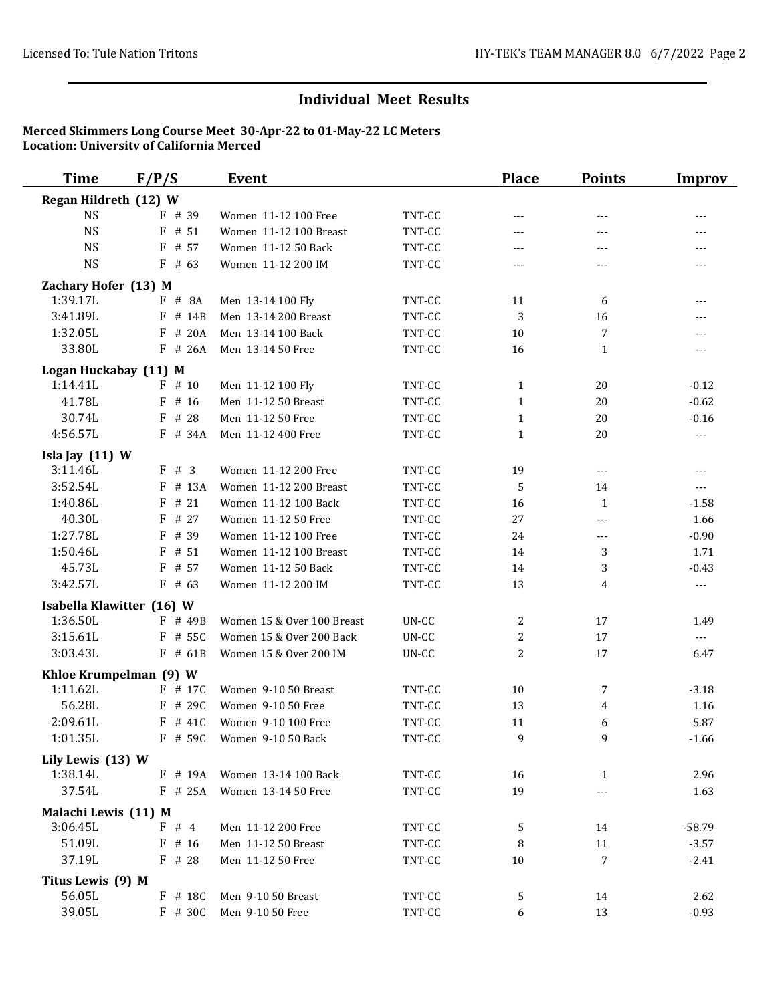| <b>Time</b>                   | F/P/S                     | <b>Event</b>                                      |                  | <b>Place</b>   | <b>Points</b> | <b>Improv</b>        |
|-------------------------------|---------------------------|---------------------------------------------------|------------------|----------------|---------------|----------------------|
| Regan Hildreth (12) W         |                           |                                                   |                  |                |               |                      |
| <b>NS</b>                     | $F$ # 39                  | Women 11-12 100 Free                              | TNT-CC           | $---$          | $---$         | $---$                |
| <b>NS</b>                     | $F$ # 51                  | Women 11-12 100 Breast                            | TNT-CC           | ---            | ---           | ---                  |
| <b>NS</b>                     | $F$ # 57                  | Women 11-12 50 Back                               | TNT-CC           | $---$          | $---$         | $---$                |
| <b>NS</b>                     | $F$ # 63                  | Women 11-12 200 IM                                | TNT-CC           | $---$          | ---           | $---$                |
| Zachary Hofer (13) M          |                           |                                                   |                  |                |               |                      |
| 1:39.17L                      | $F$ # 8A                  | Men 13-14 100 Fly                                 | TNT-CC           | 11             | 6             | $---$                |
| 3:41.89L                      | F # 14B                   | Men 13-14 200 Breast                              | TNT-CC           | 3              | 16            | $---$                |
| 1:32.05L                      | F # 20A                   | Men 13-14 100 Back                                | TNT-CC           | 10             | 7             | $\overline{a}$       |
| 33.80L                        | $F$ # 26A                 | Men 13-14 50 Free                                 | TNT-CC           | 16             | $\mathbf{1}$  | ---                  |
| Logan Huckabay (11) M         |                           |                                                   |                  |                |               |                      |
| 1:14.41L                      | $F$ # 10                  | Men 11-12 100 Fly                                 | TNT-CC           | 1              | 20            | $-0.12$              |
| 41.78L                        | $F$ # 16                  | Men 11-12 50 Breast                               | TNT-CC           | $\mathbf{1}$   | 20            | $-0.62$              |
| 30.74L                        | # 28<br>F                 | Men 11-12 50 Free                                 | TNT-CC           | $\mathbf{1}$   | 20            | $-0.16$              |
| 4:56.57L                      | $F$ # 34A                 | Men 11-12 400 Free                                | TNT-CC           | $\mathbf{1}$   | 20            | $\sim$ $\sim$ $\sim$ |
|                               |                           |                                                   |                  |                |               |                      |
| Isla Jay $(11)$ W<br>3:11.46L | F # 3                     | Women 11-12 200 Free                              | TNT-CC           | 19             | $---$         | ---                  |
| 3:52.54L                      | # 13A<br>F                | Women 11-12 200 Breast                            | TNT-CC           | $\mathbf 5$    | 14            | $\overline{a}$       |
| 1:40.86L                      | # 21<br>F                 | Women 11-12 100 Back                              | TNT-CC           | 16             | $\mathbf{1}$  | $-1.58$              |
| 40.30L                        | # 27<br>F                 | Women 11-12 50 Free                               | TNT-CC           | 27             | $---$         | 1.66                 |
| 1:27.78L                      | F<br># 39                 | Women 11-12 100 Free                              | TNT-CC           | 24             | $---$         | $-0.90$              |
| 1:50.46L                      | $F$ # 51                  | Women 11-12 100 Breast                            | TNT-CC           | 14             | 3             | 1.71                 |
| 45.73L                        | $F$ # 57                  | Women 11-12 50 Back                               | TNT-CC           | 14             | 3             | $-0.43$              |
| 3:42.57L                      | $F$ # 63                  | Women 11-12 200 IM                                | TNT-CC           | 13             | 4             | $\sim$ $\sim$        |
|                               | Isabella Klawitter (16) W |                                                   |                  |                |               |                      |
| 1:36.50L                      | $F$ # 49B                 | Women 15 & Over 100 Breast                        | UN-CC            | 2              | 17            | 1.49                 |
| 3:15.61L                      | $F$ # 55C                 | Women 15 & Over 200 Back                          | UN-CC            | 2              | 17            | $\overline{a}$       |
| 3:03.43L                      | $F$ # 61B                 | Women 15 & Over 200 IM                            | UN-CC            | $\overline{c}$ | 17            | 6.47                 |
|                               |                           |                                                   |                  |                |               |                      |
|                               | Khloe Krumpelman (9) W    |                                                   |                  |                |               |                      |
| 1:11.62L                      | $F$ # 17C                 | Women 9-10 50 Breast                              | TNT-CC           | $10\,$         | 7             | $-3.18$              |
| 56.28L<br>2:09.61L            | $F$ # 290<br>$F$ # 41C    | Women 9-10 50 Free                                | TNT-CC<br>TNT-CC | 13             | 4             | 1.16                 |
| 1:01.35L                      |                           | Women 9-10 100 Free<br>F # 59C Women 9-10 50 Back | TNT-CC           | 11             | 6<br>9        | 5.87                 |
|                               |                           |                                                   |                  | 9              |               | $-1.66$              |
| Lily Lewis (13) W             |                           |                                                   |                  |                |               |                      |
| 1:38.14L                      | $F$ # 19A                 | Women 13-14 100 Back                              | TNT-CC           | 16             | $\mathbf{1}$  | 2.96                 |
| 37.54L                        | $F$ # 25A                 | Women 13-14 50 Free                               | TNT-CC           | 19             |               | 1.63                 |
| Malachi Lewis (11) M          |                           |                                                   |                  |                |               |                      |
| 3:06.45L                      | F # 4                     | Men 11-12 200 Free                                | TNT-CC           | 5              | 14            | $-58.79$             |
| 51.09L                        | $F$ # 16                  | Men 11-12 50 Breast                               | TNT-CC           | 8              | 11            | $-3.57$              |
| 37.19L                        | $F$ # 28                  | Men 11-12 50 Free                                 | TNT-CC           | $10\,$         | 7             | $-2.41$              |
| Titus Lewis (9) M             |                           |                                                   |                  |                |               |                      |
| 56.05L                        | F # 18C                   | Men 9-10 50 Breast                                | TNT-CC           | 5              | 14            | 2.62                 |
| 39.05L                        | F # 30C                   | Men 9-10 50 Free                                  | TNT-CC           | 6              | 13            | $-0.93$              |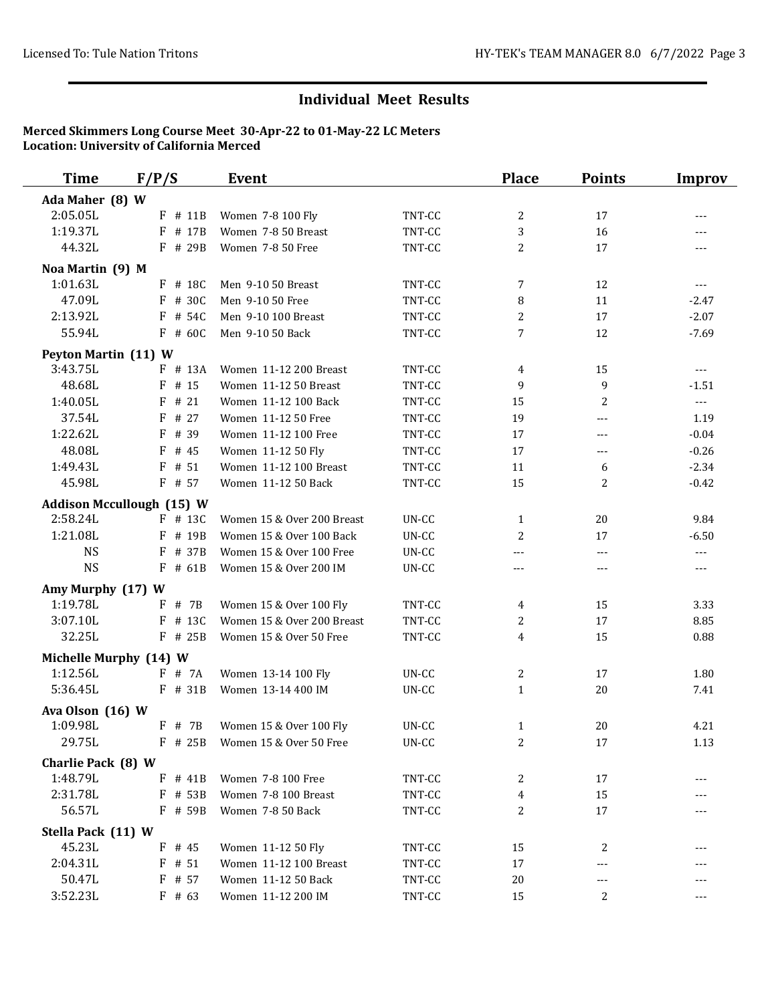| <b>Time</b>            | F/P/S                            | <b>Event</b>               |         | <b>Place</b> | <b>Points</b> | <b>Improv</b>        |
|------------------------|----------------------------------|----------------------------|---------|--------------|---------------|----------------------|
| Ada Maher (8) W        |                                  |                            |         |              |               |                      |
| 2:05.05L               | F # 11B                          | Women 7-8 100 Fly          | TNT-CC  | 2            | 17            | $---$                |
| 1:19.37L               | $F$ # 17B                        | Women 7-8 50 Breast        | TNT-CC  | 3            | 16            |                      |
| 44.32L                 | F # 29B                          | Women 7-8 50 Free          | TNT-CC  | 2            | 17            | $---$                |
| Noa Martin (9) M       |                                  |                            |         |              |               |                      |
| 1:01.63L               | $F$ # 18C                        | Men 9-10 50 Breast         | TNT-CC  | 7            | 12            | $---$                |
| 47.09L                 | F # 30C                          | Men 9-10 50 Free           | TNT-CC  | 8            | 11            | $-2.47$              |
| 2:13.92L               | $F$ # 54C                        | Men 9-10 100 Breast        | TNT-CC  | 2            | 17            | $-2.07$              |
| 55.94L                 | $F$ # 60C                        | Men 9-10 50 Back           | TNT-CC  | 7            | 12            | $-7.69$              |
| Peyton Martin (11) W   |                                  |                            |         |              |               |                      |
| 3:43.75L               | $F$ # 13A                        | Women 11-12 200 Breast     | TNT-CC  | 4            | 15            | $\sim$ $\sim$ $\sim$ |
| 48.68L                 | $F$ # 15                         | Women 11-12 50 Breast      | TNT-CC  | 9            | 9             | $-1.51$              |
| 1:40.05L               | F<br># 21                        | Women 11-12 100 Back       | TNT-CC  | 15           | 2             | $\sim$ $\sim$        |
| 37.54L                 | # 27<br>F                        | Women 11-12 50 Free        | TNT-CC  | 19           | ---           | 1.19                 |
| 1:22.62L               | # 39<br>F                        | Women 11-12 100 Free       | TNT-CC  | 17           | ---           | $-0.04$              |
| 48.08L                 | F<br># 45                        | Women 11-12 50 Fly         | TNT-CC  | 17           | ---           | $-0.26$              |
| 1:49.43L               | # 51<br>F                        | Women 11-12 100 Breast     | TNT-CC  | 11           | 6             | $-2.34$              |
| 45.98L                 | F # 57                           | Women 11-12 50 Back        | TNT-CC  | 15           | 2             | $-0.42$              |
|                        | <b>Addison Mccullough (15) W</b> |                            |         |              |               |                      |
| 2:58.24L               | $F$ # 13C                        | Women 15 & Over 200 Breast | UN-CC   | $\mathbf{1}$ | 20            | 9.84                 |
| 1:21.08L               | $F$ # 19B                        | Women 15 & Over 100 Back   | UN-CC   | 2            | 17            | $-6.50$              |
| <b>NS</b>              | F # 37B                          | Women 15 & Over 100 Free   | UN-CC   | $\cdots$     | $---$         | $\sim$ $\sim$ $\sim$ |
| <b>NS</b>              | $F$ # 61B                        | Women 15 & Over 200 IM     | UN-CC   | $---$        | $---$         | $---$                |
| Amy Murphy (17) W      |                                  |                            |         |              |               |                      |
| 1:19.78L               | $F$ # 7B                         | Women 15 & Over 100 Fly    | TNT-CC  | 4            | 15            | 3.33                 |
| 3:07.10L               | $F$ # 13C                        | Women 15 & Over 200 Breast | TNT-CC  | 2            | 17            | 8.85                 |
| 32.25L                 | F # 25B                          | Women 15 & Over 50 Free    | TNT-CC  | 4            | 15            | 0.88                 |
| Michelle Murphy (14) W |                                  |                            |         |              |               |                      |
| 1:12.56L               | $F$ # 7A                         | Women 13-14 100 Fly        | UN-CC   | 2            | 17            | 1.80                 |
| 5:36.45L               | F # 31B                          | Women 13-14 400 IM         | UN-CC   | $\mathbf{1}$ | 20            | 7.41                 |
| Ava Olson (16) W       |                                  |                            |         |              |               |                      |
| 1:09.98L               | $F$ # 7B                         | Women 15 & Over 100 Fly    | UN-CC   | $\mathbf{1}$ | 20            | 4.21                 |
| 29.75L                 | $F$ # 25B                        | Women 15 & Over 50 Free    | $UN-CC$ | 2            | 17            | 1.13                 |
| Charlie Pack (8) W     |                                  |                            |         |              |               |                      |
| 1:48.79L               | $F$ # 41B                        | Women 7-8 100 Free         | TNT-CC  | 2            | 17            |                      |
| 2:31.78L               | F # 53B                          | Women 7-8 100 Breast       | TNT-CC  | 4            | 15            |                      |
| 56.57L                 | $F$ # 59B                        | Women 7-8 50 Back          | TNT-CC  | 2            | 17            |                      |
| Stella Pack (11) W     |                                  |                            |         |              |               |                      |
| 45.23L                 | $F$ # 45                         | Women 11-12 50 Fly         | TNT-CC  | 15           | 2             |                      |
| 2:04.31L               | $F$ # 51                         | Women 11-12 100 Breast     | TNT-CC  | 17           |               |                      |
| 50.47L                 | $F$ # 57                         | Women 11-12 50 Back        | TNT-CC  | 20           |               |                      |
| 3:52.23L               | $F$ # 63                         | Women 11-12 200 IM         | TNT-CC  | 15           | 2             | $---$                |